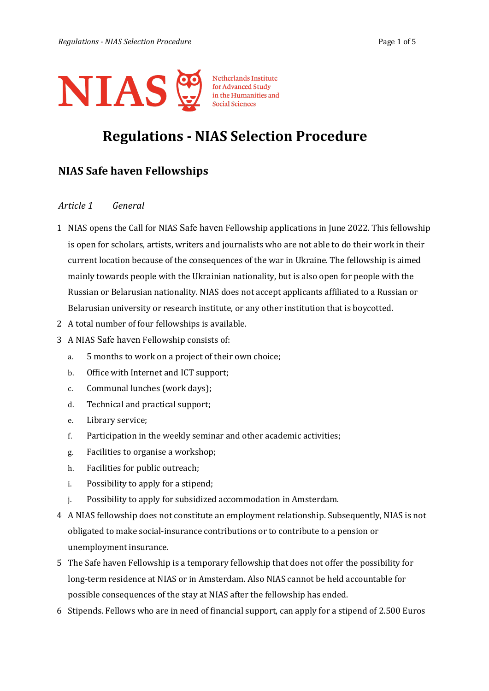

# **Regulations - NIAS Selection Procedure**

## **NIAS Safe haven Fellowships**

## *Article 1 General*

- 1 NIAS opens the Call for NIAS Safe haven Fellowship applications in June 2022. This fellowship is open for scholars, artists, writers and journalists who are not able to do their work in their current location because of the consequences of the war in Ukraine. The fellowship is aimed mainly towards people with the Ukrainian nationality, but is also open for people with the Russian or Belarusian nationality*.* NIAS does not accept applicants affiliated to a Russian or Belarusian university or research institute, or any other institution that is boycotted.
- 2 A total number of four fellowships is available.
- 3 A NIAS Safe haven Fellowship consists of:
	- a. 5 months to work on a project of their own choice;
	- b. Office with Internet and ICT support;
	- c. Communal lunches (work days);
	- d. Technical and practical support;
	- e. Library service;
	- f. Participation in the weekly seminar and other academic activities;
	- g. Facilities to organise a workshop;
	- h. Facilities for public outreach;
	- i. Possibility to apply for a stipend;
	- j. Possibility to apply for subsidized accommodation in Amsterdam.
- 4 A NIAS fellowship does not constitute an employment relationship. Subsequently, NIAS is not obligated to make social-insurance contributions or to contribute to a pension or unemployment insurance.
- 5 The Safe haven Fellowship is a temporary fellowship that does not offer the possibility for long-term residence at NIAS or in Amsterdam. Also NIAS cannot be held accountable for possible consequences of the stay at NIAS after the fellowship has ended.
- 6 Stipends. Fellows who are in need of financial support, can apply for a stipend of 2.500 Euros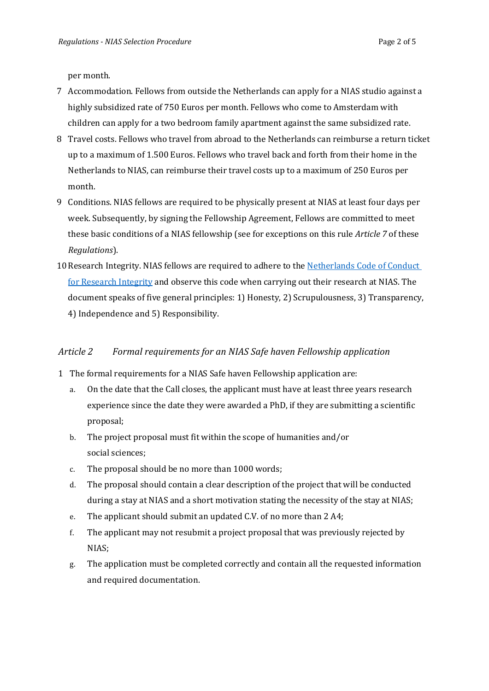per month.

- 7 Accommodation. Fellows from outside the Netherlands can apply for a NIAS studio against a highly subsidized rate of 750 Euros per month. Fellows who come to Amsterdam with children can apply for a two bedroom family apartment against the same subsidized rate.
- 8 Travel costs. Fellows who travel from abroad to the Netherlands can reimburse a return ticket up to a maximum of 1.500 Euros. Fellows who travel back and forth from their home in the Netherlands to NIAS, can reimburse their travel costs up to a maximum of 250 Euros per month.
- 9 Conditions. NIAS fellows are required to be physically present at NIAS at least four days per week. Subsequently, by signing the Fellowship Agreement, Fellows are committed to meet these basic conditions of a NIAS fellowship (see for exceptions on this rule *Article 7* of these *Regulations*).
- 10 Research Integrity. NIAS fellows are required to adhere to the Netherlands Code of Conduct [for Research Integrity](https://www.knaw.nl/shared/resources/actueel/bestanden/netherlands-code-of-conduct-for-research-integrity-2018-uk/view) and observe this code when carrying out their research at NIAS. The document speaks of five general principles: 1) Honesty, 2) Scrupulousness, 3) Transparency, 4) Independence and 5) Responsibility.

## *Article 2 Formal requirements for an NIAS Safe haven Fellowship application*

- 1 The formal requirements for a NIAS Safe haven Fellowship application are:
	- a. On the date that the Call closes, the applicant must have at least three years research experience since the date they were awarded a PhD, if they are submitting a scientific proposal;
	- b. The project proposal must fit within the scope of humanities and/or social sciences;
	- c. The proposal should be no more than 1000 words;
	- d. The proposal should contain a clear description of the project that will be conducted during a stay at NIAS and a short motivation stating the necessity of the stay at NIAS;
	- e. The applicant should submit an updated C.V. of no more than 2 A4;
	- f. The applicant may not resubmit a project proposal that was previously rejected by NIAS;
	- g. The application must be completed correctly and contain all the requested information and required documentation.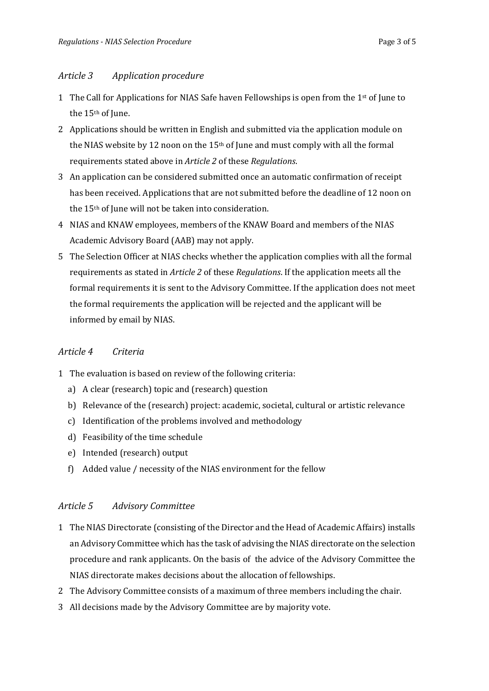- 1 The Call for Applications for NIAS Safe haven Fellowships is open from the  $1<sup>st</sup>$  of June to the 15<sup>th</sup> of June.
- 2 Applications should be written in English and submitted via the application module on the NIAS website by 12 noon on the  $15<sup>th</sup>$  of June and must comply with all the formal requirements stated above in *Article 2* of these *Regulations*.
- 3 An application can be considered submitted once an automatic confirmation of receipt has been received. Applications that are not submitted before the deadline of 12 noon on the 15th of June will not be taken into consideration.
- 4 NIAS and KNAW employees, members of the KNAW Board and members of the NIAS Academic Advisory Board (AAB) may not apply.
- 5 The Selection Officer at NIAS checks whether the application complies with all the formal requirements as stated in *Article 2* of these *Regulations*. If the application meets all the formal requirements it is sent to the Advisory Committee. If the application does not meet the formal requirements the application will be rejected and the applicant will be informed by email by NIAS.

## *Article 4 Criteria*

- 1 The evaluation is based on review of the following criteria:
	- a) A clear (research) topic and (research) question
	- b) Relevance of the (research) project: academic, societal, cultural or artistic relevance
	- c) Identification of the problems involved and methodology
	- d) Feasibility of the time schedule
	- e) Intended (research) output
	- f) Added value / necessity of the NIAS environment for the fellow

## *Article 5 Advisory Committee*

- 1 The NIAS Directorate (consisting of the Director and the Head of Academic Affairs) installs an Advisory Committee which has the task of advising the NIAS directorate on the selection procedure and rank applicants. On the basis of the advice of the Advisory Committee the NIAS directorate makes decisions about the allocation of fellowships.
- 2 The Advisory Committee consists of a maximum of three members including the chair.
- 3 All decisions made by the Advisory Committee are by majority vote.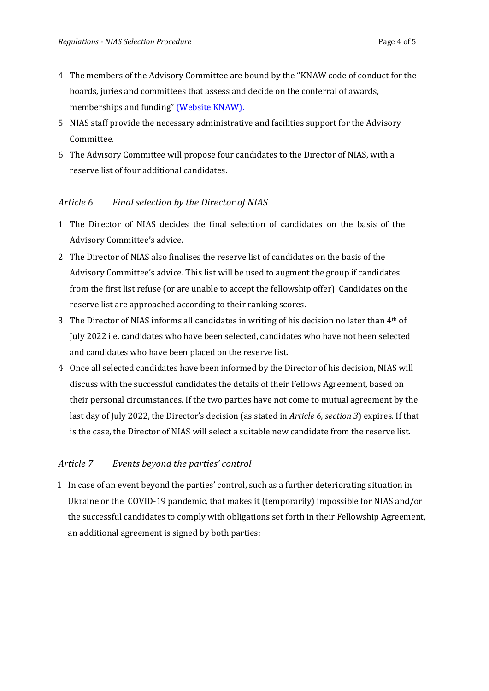- 4 The members of the Advisory Committee are bound by the "KNAW code of conduct for the boards, juries and committees that assess and decide on the conferral of awards, memberships and funding[" \(Website KNAW\).](https://www.knaw.nl/en/news/publications/conflicts-of-interest-code-of-conduct-relating-to-prizes-memberships-and-subsidies)
- 5 NIAS staff provide the necessary administrative and facilities support for the Advisory Committee.
- 6 The Advisory Committee will propose four candidates to the Director of NIAS, with a reserve list of four additional candidates.

#### *Article 6 Final selection by the Director of NIAS*

- 1 The Director of NIAS decides the final selection of candidates on the basis of the Advisory Committee's advice.
- 2 The Director of NIAS also finalises the reserve list of candidates on the basis of the Advisory Committee's advice. This list will be used to augment the group if candidates from the first list refuse (or are unable to accept the fellowship offer). Candidates on the reserve list are approached according to their ranking scores.
- 3 The Director of NIAS informs all candidates in writing of his decision no later than 4th of July 2022 i.e. candidates who have been selected, candidates who have not been selected and candidates who have been placed on the reserve list.
- 4 Once all selected candidates have been informed by the Director of his decision, NIAS will discuss with the successful candidates the details of their Fellows Agreement, based on their personal circumstances. If the two parties have not come to mutual agreement by the last day of July 2022, the Director's decision (as stated in *Article 6, section 3*) expires. If that is the case, the Director of NIAS will select a suitable new candidate from the reserve list.

## *Article 7 Events beyond the parties' control*

1 In case of an event beyond the parties' control, such as a further deteriorating situation in Ukraine or the COVID-19 pandemic, that makes it (temporarily) impossible for NIAS and/or the successful candidates to comply with obligations set forth in their Fellowship Agreement, an additional agreement is signed by both parties;